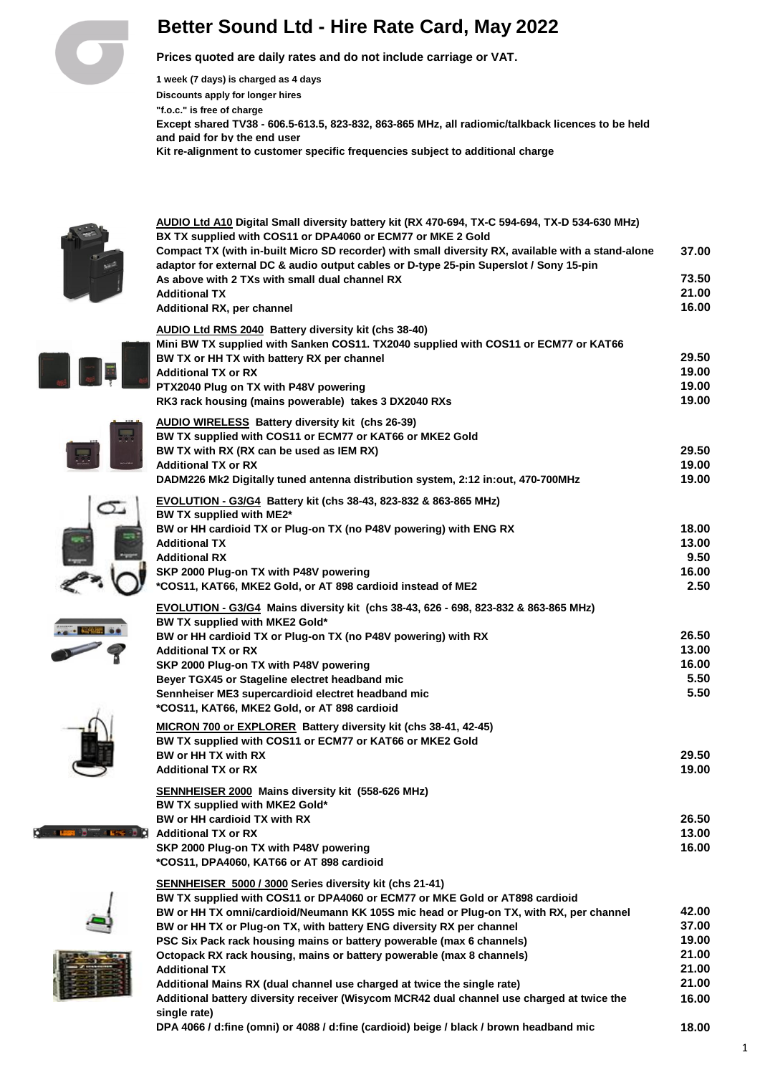# **Better Sound Ltd - Hire Rate Card, May 2022**

**Prices quoted are daily rates and do not include carriage or VAT.**

**1 week (7 days) is charged as 4 days Discounts apply for longer hires "f.o.c." is free of charge Except shared TV38 - 606.5-613.5, 823-832, 863-865 MHz, all radiomic/talkback licences to be held and paid for by the end user Kit re-alignment to customer specific frequencies subject to additional charge**

**AUDIO Ltd A10 Digital Small diversity battery kit (RX 470-694, TX-C 594-694, TX-D 534-630 MHz)**



 $\subset$ 

**ER** do T

| BX TX supplied with COS11 or DPA4060 or ECM77 or MKE 2 Gold                                                           |       |
|-----------------------------------------------------------------------------------------------------------------------|-------|
| Compact TX (with in-built Micro SD recorder) with small diversity RX, available with a stand-alone                    | 37.00 |
| adaptor for external DC & audio output cables or D-type 25-pin Superslot / Sony 15-pin                                |       |
| As above with 2 TXs with small dual channel RX                                                                        | 73.50 |
| <b>Additional TX</b>                                                                                                  | 21.00 |
| Additional RX, per channel                                                                                            | 16.00 |
|                                                                                                                       |       |
| <b>AUDIO Ltd RMS 2040 Battery diversity kit (chs 38-40)</b>                                                           |       |
| Mini BW TX supplied with Sanken COS11. TX2040 supplied with COS11 or ECM77 or KAT66                                   | 29.50 |
| BW TX or HH TX with battery RX per channel<br><b>Additional TX or RX</b>                                              | 19.00 |
| PTX2040 Plug on TX with P48V powering                                                                                 | 19.00 |
| RK3 rack housing (mains powerable) takes 3 DX2040 RXs                                                                 | 19.00 |
|                                                                                                                       |       |
| AUDIO WIRELESS Battery diversity kit (chs 26-39)                                                                      |       |
| BW TX supplied with COS11 or ECM77 or KAT66 or MKE2 Gold                                                              |       |
| BW TX with RX (RX can be used as IEM RX)                                                                              | 29.50 |
| <b>Additional TX or RX</b>                                                                                            | 19.00 |
| DADM226 Mk2 Digitally tuned antenna distribution system, 2:12 in:out, 470-700MHz                                      | 19.00 |
| EVOLUTION - G3/G4 Battery kit (chs 38-43, 823-832 & 863-865 MHz)                                                      |       |
| BW TX supplied with ME2*                                                                                              |       |
| BW or HH cardioid TX or Plug-on TX (no P48V powering) with ENG RX                                                     | 18.00 |
| <b>Additional TX</b>                                                                                                  | 13.00 |
| <b>Additional RX</b>                                                                                                  | 9.50  |
| SKP 2000 Plug-on TX with P48V powering                                                                                | 16.00 |
| *COS11, KAT66, MKE2 Gold, or AT 898 cardioid instead of ME2                                                           | 2.50  |
|                                                                                                                       |       |
| EVOLUTION - G3/G4 Mains diversity kit (chs 38-43, 626 - 698, 823-832 & 863-865 MHz)<br>BW TX supplied with MKE2 Gold* |       |
| BW or HH cardioid TX or Plug-on TX (no P48V powering) with RX                                                         | 26.50 |
| <b>Additional TX or RX</b>                                                                                            | 13.00 |
|                                                                                                                       | 16.00 |
| SKP 2000 Plug-on TX with P48V powering<br>Beyer TGX45 or Stageline electret headband mic                              | 5.50  |
| Sennheiser ME3 supercardioid electret headband mic                                                                    | 5.50  |
| *COS11, KAT66, MKE2 Gold, or AT 898 cardioid                                                                          |       |
|                                                                                                                       |       |
| MICRON 700 or EXPLORER Battery diversity kit (chs 38-41, 42-45)                                                       |       |
| BW TX supplied with COS11 or ECM77 or KAT66 or MKE2 Gold                                                              |       |
| BW or HH TX with RX                                                                                                   | 29.50 |
| <b>Additional TX or RX</b>                                                                                            | 19.00 |
| SENNHEISER 2000 Mains diversity kit (558-626 MHz)                                                                     |       |
| BW TX supplied with MKE2 Gold*                                                                                        |       |
| BW or HH cardioid TX with RX                                                                                          | 26.50 |
| <b>Additional TX or RX</b>                                                                                            | 13.00 |
| SKP 2000 Plug-on TX with P48V powering                                                                                | 16.00 |
| *COS11, DPA4060, KAT66 or AT 898 cardioid                                                                             |       |
| SENNHEISER 5000 / 3000 Series diversity kit (chs 21-41)                                                               |       |
| BW TX supplied with COS11 or DPA4060 or ECM77 or MKE Gold or AT898 cardioid                                           |       |
| BW or HH TX omni/cardioid/Neumann KK 105S mic head or Plug-on TX, with RX, per channel                                | 42.00 |
| BW or HH TX or Plug-on TX, with battery ENG diversity RX per channel                                                  | 37.00 |
| PSC Six Pack rack housing mains or battery powerable (max 6 channels)                                                 | 19.00 |
| Octopack RX rack housing, mains or battery powerable (max 8 channels)                                                 | 21.00 |
| <b>Additional TX</b>                                                                                                  | 21.00 |
| Additional Mains RX (dual channel use charged at twice the single rate)                                               | 21.00 |
| Additional battery diversity receiver (Wisycom MCR42 dual channel use charged at twice the                            | 16.00 |
| single rate)                                                                                                          |       |
|                                                                                                                       |       |

**DPA 4066 / d:fine (omni) or 4088 / d:fine (cardioid) beige / black / brown headband mic 18.00**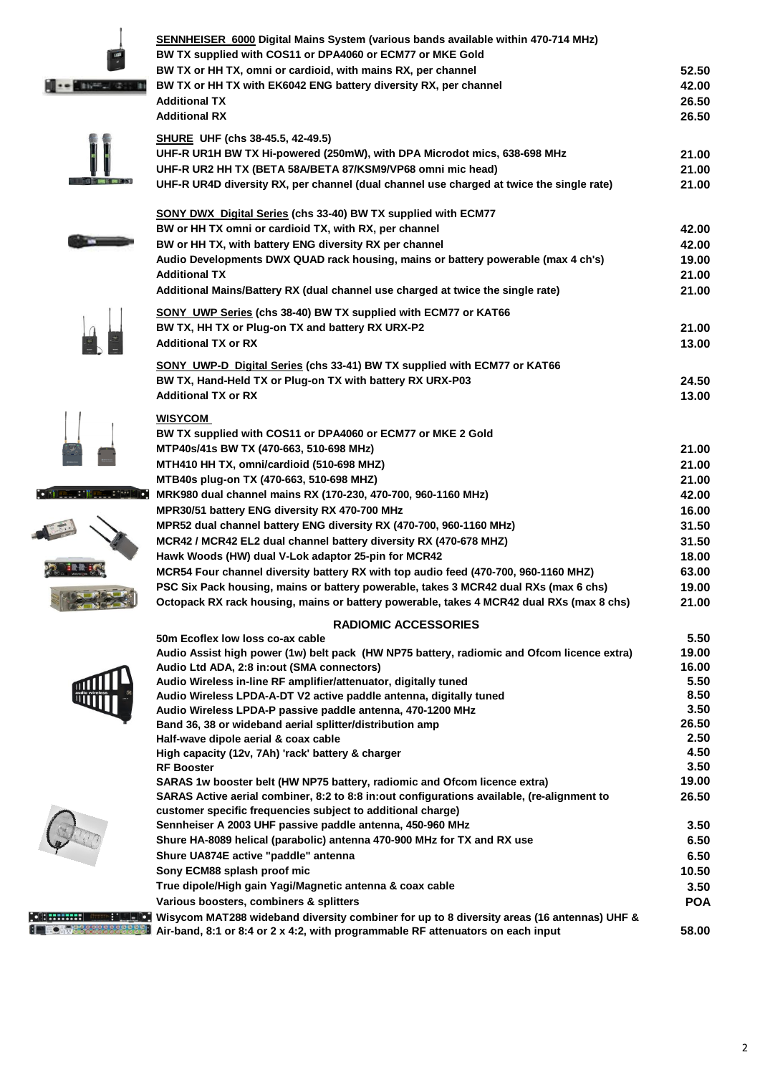|                          | SENNHEISER 6000 Digital Mains System (various bands available within 470-714 MHz)<br>BW TX supplied with COS11 or DPA4060 or ECM77 or MKE Gold                                |              |
|--------------------------|-------------------------------------------------------------------------------------------------------------------------------------------------------------------------------|--------------|
|                          | BW TX or HH TX, omni or cardioid, with mains RX, per channel                                                                                                                  | 52.50        |
|                          | BW TX or HH TX with EK6042 ENG battery diversity RX, per channel                                                                                                              | 42.00        |
|                          | <b>Additional TX</b>                                                                                                                                                          | 26.50        |
|                          | <b>Additional RX</b>                                                                                                                                                          | 26.50        |
|                          | <b>SHURE UHF (chs 38-45.5, 42-49.5)</b><br>UHF-R UR1H BW TX Hi-powered (250mW), with DPA Microdot mics, 638-698 MHz                                                           | 21.00        |
|                          | UHF-R UR2 HH TX (BETA 58A/BETA 87/KSM9/VP68 omni mic head)                                                                                                                    | 21.00        |
| <b>STATE OF BUILDING</b> | UHF-R UR4D diversity RX, per channel (dual channel use charged at twice the single rate)                                                                                      | 21.00        |
|                          | <b>SONY DWX</b> Digital Series (chs 33-40) BW TX supplied with ECM77                                                                                                          |              |
|                          | BW or HH TX omni or cardioid TX, with RX, per channel                                                                                                                         | 42.00        |
|                          | BW or HH TX, with battery ENG diversity RX per channel                                                                                                                        | 42.00        |
|                          | Audio Developments DWX QUAD rack housing, mains or battery powerable (max 4 ch's)                                                                                             | 19.00        |
|                          | <b>Additional TX</b>                                                                                                                                                          | 21.00        |
|                          | Additional Mains/Battery RX (dual channel use charged at twice the single rate)                                                                                               | 21.00        |
|                          | <b>SONY UWP Series (chs 38-40) BW TX supplied with ECM77 or KAT66</b>                                                                                                         |              |
|                          | BW TX, HH TX or Plug-on TX and battery RX URX-P2                                                                                                                              | 21.00        |
|                          | <b>Additional TX or RX</b>                                                                                                                                                    | 13.00        |
|                          | <b>SONY UWP-D Digital Series (chs 33-41) BW TX supplied with ECM77 or KAT66</b>                                                                                               |              |
|                          | BW TX, Hand-Held TX or Plug-on TX with battery RX URX-P03                                                                                                                     | 24.50        |
|                          | <b>Additional TX or RX</b>                                                                                                                                                    | 13.00        |
|                          | <b>WISYCOM</b>                                                                                                                                                                |              |
|                          | BW TX supplied with COS11 or DPA4060 or ECM77 or MKE 2 Gold                                                                                                                   |              |
|                          | MTP40s/41s BW TX (470-663, 510-698 MHz)                                                                                                                                       | 21.00        |
|                          | MTH410 HH TX, omni/cardioid (510-698 MHZ)                                                                                                                                     | 21.00        |
|                          | MTB40s plug-on TX (470-663, 510-698 MHZ)                                                                                                                                      | 21.00        |
|                          | MRK980 dual channel mains RX (170-230, 470-700, 960-1160 MHz)                                                                                                                 | 42.00        |
|                          | MPR30/51 battery ENG diversity RX 470-700 MHz                                                                                                                                 | 16.00        |
|                          | MPR52 dual channel battery ENG diversity RX (470-700, 960-1160 MHz)                                                                                                           | 31.50        |
|                          | MCR42 / MCR42 EL2 dual channel battery diversity RX (470-678 MHZ)                                                                                                             | 31.50        |
|                          | Hawk Woods (HW) dual V-Lok adaptor 25-pin for MCR42                                                                                                                           | 18.00        |
|                          | MCR54 Four channel diversity battery RX with top audio feed (470-700, 960-1160 MHZ)                                                                                           | 63.00        |
|                          | PSC Six Pack housing, mains or battery powerable, takes 3 MCR42 dual RXs (max 6 chs)                                                                                          | 19.00        |
|                          | Octopack RX rack housing, mains or battery powerable, takes 4 MCR42 dual RXs (max 8 chs)                                                                                      | 21.00        |
|                          | <b>RADIOMIC ACCESSORIES</b><br>50m Ecoflex low loss co-ax cable                                                                                                               | 5.50         |
|                          | Audio Assist high power (1w) belt pack (HW NP75 battery, radiomic and Ofcom licence extra)                                                                                    | 19.00        |
|                          | Audio Ltd ADA, 2:8 in:out (SMA connectors)                                                                                                                                    | 16.00        |
|                          | Audio Wireless in-line RF amplifier/attenuator, digitally tuned                                                                                                               | 5.50         |
|                          | Audio Wireless LPDA-A-DT V2 active paddle antenna, digitally tuned                                                                                                            | 8.50         |
|                          | Audio Wireless LPDA-P passive paddle antenna, 470-1200 MHz                                                                                                                    | 3.50         |
|                          | Band 36, 38 or wideband aerial splitter/distribution amp                                                                                                                      | 26.50        |
|                          | Half-wave dipole aerial & coax cable                                                                                                                                          | 2.50<br>4.50 |
|                          | High capacity (12v, 7Ah) 'rack' battery & charger<br><b>RF Booster</b>                                                                                                        | 3.50         |
|                          | SARAS 1w booster belt (HW NP75 battery, radiomic and Ofcom licence extra)                                                                                                     | 19.00        |
|                          | SARAS Active aerial combiner, 8:2 to 8:8 in:out configurations available, (re-alignment to                                                                                    | 26.50        |
|                          | customer specific frequencies subject to additional charge)                                                                                                                   |              |
|                          | Sennheiser A 2003 UHF passive paddle antenna, 450-960 MHz                                                                                                                     | 3.50         |
|                          | Shure HA-8089 helical (parabolic) antenna 470-900 MHz for TX and RX use                                                                                                       | 6.50         |
|                          | Shure UA874E active "paddle" antenna                                                                                                                                          | 6.50         |
|                          | Sony ECM88 splash proof mic                                                                                                                                                   | 10.50        |
|                          | True dipole/High gain Yagi/Magnetic antenna & coax cable                                                                                                                      | 3.50         |
|                          | Various boosters, combiners & splitters                                                                                                                                       | <b>POA</b>   |
|                          | Wisycom MAT288 wideband diversity combiner for up to 8 diversity areas (16 antennas) UHF &<br>Air-band, 8:1 or 8:4 or 2 x 4:2, with programmable RF attenuators on each input | 58.00        |
|                          |                                                                                                                                                                               |              |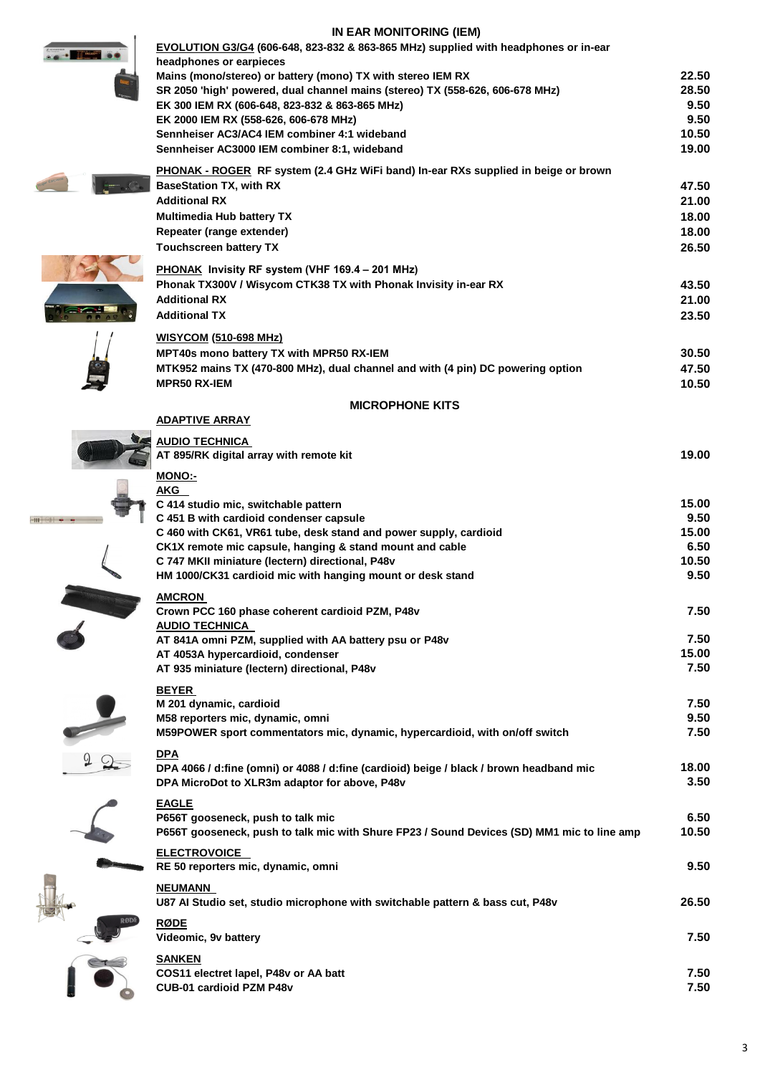# **IN EAR MONITORING (IEM)**

| IN EAR MUNITURING (IEM)<br>EVOLUTION G3/G4 (606-648, 823-832 & 863-865 MHz) supplied with headphones or in-ear<br>headphones or earpieces |                |
|-------------------------------------------------------------------------------------------------------------------------------------------|----------------|
| Mains (mono/stereo) or battery (mono) TX with stereo IEM RX                                                                               | 22.50          |
| SR 2050 'high' powered, dual channel mains (stereo) TX (558-626, 606-678 MHz)                                                             | 28.50          |
| EK 300 IEM RX (606-648, 823-832 & 863-865 MHz)<br>EK 2000 IEM RX (558-626, 606-678 MHz)                                                   | 9.50<br>9.50   |
| Sennheiser AC3/AC4 IEM combiner 4:1 wideband                                                                                              | 10.50          |
| Sennheiser AC3000 IEM combiner 8:1, wideband                                                                                              | 19.00          |
| <b>PHONAK - ROGER RF system (2.4 GHz WiFi band) In-ear RXs supplied in beige or brown</b>                                                 |                |
| <b>BaseStation TX, with RX</b>                                                                                                            | 47.50          |
| <b>Additional RX</b><br><b>Multimedia Hub battery TX</b>                                                                                  | 21.00<br>18.00 |
| Repeater (range extender)                                                                                                                 | 18.00          |
| <b>Touchscreen battery TX</b>                                                                                                             | 26.50          |
| PHONAK Invisity RF system (VHF 169.4 - 201 MHz)                                                                                           |                |
| Phonak TX300V / Wisycom CTK38 TX with Phonak Invisity in-ear RX                                                                           | 43.50          |
| <b>Additional RX</b>                                                                                                                      | 21.00          |
| <b>Additional TX</b>                                                                                                                      | 23.50          |
| <u>WISYCOM</u> (510-698 MHz)                                                                                                              |                |
| <b>MPT40s mono battery TX with MPR50 RX-IEM</b>                                                                                           | 30.50<br>47.50 |
| MTK952 mains TX (470-800 MHz), dual channel and with (4 pin) DC powering option<br><b>MPR50 RX-IEM</b>                                    | 10.50          |
| <b>MICROPHONE KITS</b>                                                                                                                    |                |
| <b>ADAPTIVE ARRAY</b>                                                                                                                     |                |
| <u>AUDIO TECHNICA</u><br>AT 895/RK digital array with remote kit                                                                          | 19.00          |
| <b>MONO:-</b>                                                                                                                             |                |
| AKG                                                                                                                                       |                |
| C 414 studio mic, switchable pattern<br>C 451 B with cardioid condenser capsule                                                           | 15.00<br>9.50  |
| C 460 with CK61, VR61 tube, desk stand and power supply, cardioid                                                                         | 15.00          |
| CK1X remote mic capsule, hanging & stand mount and cable                                                                                  | 6.50           |
| C 747 MKII miniature (lectern) directional, P48v                                                                                          | 10.50          |
| HM 1000/CK31 cardioid mic with hanging mount or desk stand                                                                                | 9.50           |
| <b>AMCRON</b><br>Crown PCC 160 phase coherent cardioid PZM, P48v                                                                          | 7.50           |
| <b>AUDIO TECHNICA</b>                                                                                                                     |                |
| AT 841A omni PZM, supplied with AA battery psu or P48v                                                                                    | 7.50           |
| AT 4053A hypercardioid, condenser                                                                                                         | 15.00<br>7.50  |
| AT 935 miniature (lectern) directional, P48v                                                                                              |                |
| <b>BEYER</b><br>M 201 dynamic, cardioid                                                                                                   | 7.50           |
| M58 reporters mic, dynamic, omni                                                                                                          | 9.50           |
| M59POWER sport commentators mic, dynamic, hypercardioid, with on/off switch                                                               | 7.50           |
| <b>DPA</b>                                                                                                                                |                |
| DPA 4066 / d:fine (omni) or 4088 / d:fine (cardioid) beige / black / brown headband mic<br>DPA MicroDot to XLR3m adaptor for above, P48v  | 18.00<br>3.50  |
|                                                                                                                                           |                |
| <b>EAGLE</b><br>P656T gooseneck, push to talk mic                                                                                         | 6.50           |
| P656T gooseneck, push to talk mic with Shure FP23 / Sound Devices (SD) MM1 mic to line amp                                                | 10.50          |
| <b>ELECTROVOICE</b><br>RE 50 reporters mic, dynamic, omni                                                                                 | 9.50           |
| <b>NEUMANN</b><br>U87 Al Studio set, studio microphone with switchable pattern & bass cut, P48v                                           | 26.50          |
| <b>RØDE</b>                                                                                                                               |                |
| Videomic, 9v battery                                                                                                                      | 7.50           |
| <b>SANKEN</b>                                                                                                                             | 7.50           |
| COS11 electret lapel, P48v or AA batt<br>CUB-01 cardioid PZM P48v                                                                         | 7.50           |

3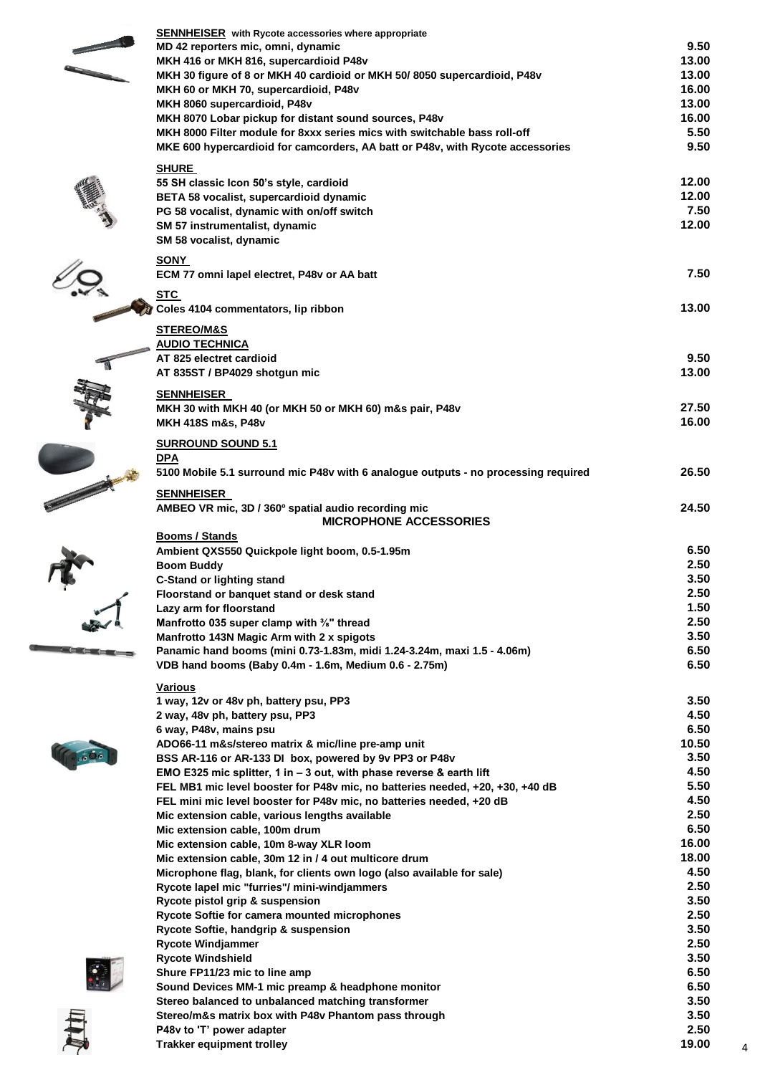| <b>SENNHEISER</b> with Rycote accessories where appropriate                                                                     |                |  |
|---------------------------------------------------------------------------------------------------------------------------------|----------------|--|
| MD 42 reporters mic, omni, dynamic                                                                                              | 9.50           |  |
| MKH 416 or MKH 816, supercardioid P48v                                                                                          | 13.00          |  |
| MKH 30 figure of 8 or MKH 40 cardioid or MKH 50/8050 supercardioid, P48v                                                        | 13.00          |  |
| MKH 60 or MKH 70, supercardioid, P48v                                                                                           | 16.00          |  |
| MKH 8060 supercardioid, P48v<br>MKH 8070 Lobar pickup for distant sound sources, P48v                                           | 13.00<br>16.00 |  |
| MKH 8000 Filter module for 8xxx series mics with switchable bass roll-off                                                       | 5.50           |  |
| MKE 600 hypercardioid for camcorders, AA batt or P48v, with Rycote accessories                                                  | 9.50           |  |
|                                                                                                                                 |                |  |
| <b>SHURE</b>                                                                                                                    | 12.00          |  |
| 55 SH classic Icon 50's style, cardioid<br>BETA 58 vocalist, supercardioid dynamic                                              | 12.00          |  |
| PG 58 vocalist, dynamic with on/off switch                                                                                      | 7.50           |  |
| SM 57 instrumentalist, dynamic                                                                                                  | 12.00          |  |
| SM 58 vocalist, dynamic                                                                                                         |                |  |
| <b>SONY</b>                                                                                                                     |                |  |
| ECM 77 omni lapel electret, P48v or AA batt                                                                                     | 7.50           |  |
|                                                                                                                                 |                |  |
| <u>STC</u><br>Coles 4104 commentators, lip ribbon                                                                               | 13.00          |  |
|                                                                                                                                 |                |  |
| <b>STEREO/M&amp;S</b>                                                                                                           |                |  |
| <b>AUDIO TECHNICA</b><br>AT 825 electret cardioid                                                                               | 9.50           |  |
| AT 835ST / BP4029 shotgun mic                                                                                                   | 13.00          |  |
|                                                                                                                                 |                |  |
| <b>SENNHEISER</b>                                                                                                               |                |  |
| MKH 30 with MKH 40 (or MKH 50 or MKH 60) m&s pair, P48v                                                                         | 27.50<br>16.00 |  |
| MKH 418S m&s, P48v                                                                                                              |                |  |
| <b>SURROUND SOUND 5.1</b>                                                                                                       |                |  |
| <b>DPA</b>                                                                                                                      |                |  |
| 5100 Mobile 5.1 surround mic P48v with 6 analogue outputs - no processing required                                              | 26.50          |  |
| <b>SENNHEISER</b>                                                                                                               |                |  |
| AMBEO VR mic, 3D / 360° spatial audio recording mic                                                                             | 24.50          |  |
| <b>MICROPHONE ACCESSORIES</b>                                                                                                   |                |  |
| <b>Booms / Stands</b><br>Ambient QXS550 Quickpole light boom, 0.5-1.95m                                                         | 6.50           |  |
| <b>Boom Buddy</b>                                                                                                               | 2.50           |  |
| <b>C-Stand or lighting stand</b>                                                                                                | 3.50           |  |
| Floorstand or banquet stand or desk stand                                                                                       | 2.50           |  |
| Lazy arm for floorstand                                                                                                         | 1.50           |  |
| Manfrotto 035 super clamp with <sup>3</sup> / <sub>8</sub> " thread                                                             | 2.50           |  |
| Manfrotto 143N Magic Arm with 2 x spigots                                                                                       | 3.50           |  |
| Panamic hand booms (mini 0.73-1.83m, midi 1.24-3.24m, maxi 1.5 - 4.06m)                                                         | 6.50           |  |
| VDB hand booms (Baby 0.4m - 1.6m, Medium 0.6 - 2.75m)                                                                           | 6.50           |  |
| Various                                                                                                                         |                |  |
| 1 way, 12v or 48v ph, battery psu, PP3                                                                                          | 3.50           |  |
| 2 way, 48v ph, battery psu, PP3                                                                                                 | 4.50           |  |
| 6 way, P48v, mains psu<br>ADO66-11 m&s/stereo matrix & mic/line pre-amp unit                                                    | 6.50<br>10.50  |  |
| BSS AR-116 or AR-133 DI box, powered by 9v PP3 or P48v                                                                          | 3.50           |  |
| EMO E325 mic splitter, 1 in - 3 out, with phase reverse & earth lift                                                            | 4.50           |  |
| FEL MB1 mic level booster for P48v mic, no batteries needed, +20, +30, +40 dB                                                   | 5.50           |  |
| FEL mini mic level booster for P48v mic, no batteries needed, +20 dB                                                            | 4.50           |  |
| Mic extension cable, various lengths available                                                                                  | 2.50           |  |
| Mic extension cable, 100m drum                                                                                                  | 6.50           |  |
| Mic extension cable, 10m 8-way XLR loom                                                                                         | 16.00<br>18.00 |  |
| Mic extension cable, 30m 12 in / 4 out multicore drum<br>Microphone flag, blank, for clients own logo (also available for sale) | 4.50           |  |
| Rycote lapel mic "furries"/ mini-windjammers                                                                                    | 2.50           |  |
| Rycote pistol grip & suspension                                                                                                 | 3.50           |  |
| Rycote Softie for camera mounted microphones                                                                                    | 2.50           |  |
| Rycote Softie, handgrip & suspension                                                                                            | 3.50           |  |
| <b>Rycote Windjammer</b>                                                                                                        | 2.50           |  |
| <b>Rycote Windshield</b>                                                                                                        | 3.50           |  |
| Shure FP11/23 mic to line amp                                                                                                   | 6.50<br>6.50   |  |
| Sound Devices MM-1 mic preamp & headphone monitor<br>Stereo balanced to unbalanced matching transformer                         | 3.50           |  |
| Stereo/m&s matrix box with P48v Phantom pass through                                                                            | 3.50           |  |
| P48v to 'T' power adapter                                                                                                       | 2.50           |  |
| <b>Trakker equipment trolley</b>                                                                                                | 19.00          |  |
|                                                                                                                                 |                |  |

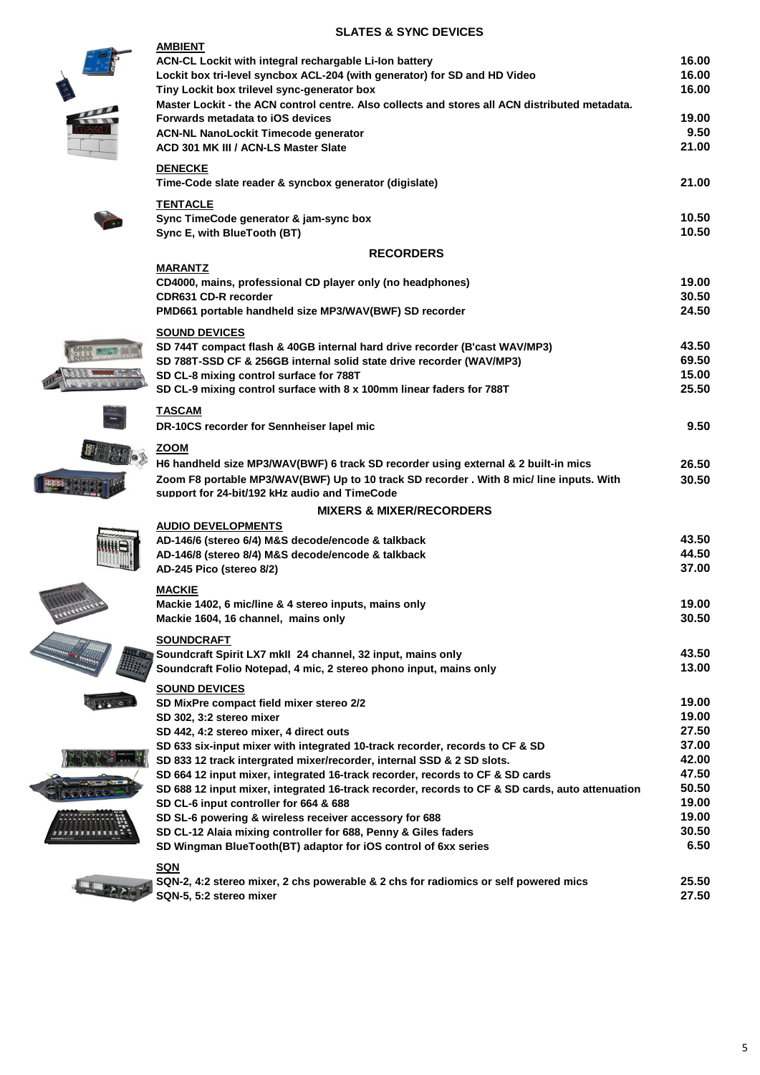## **SLATES & SYNC DEVICES**

| <b>AMBIENT</b><br>ACN-CL Lockit with integral rechargable Li-Ion battery                                                         | 16.00          |
|----------------------------------------------------------------------------------------------------------------------------------|----------------|
| Lockit box tri-level syncbox ACL-204 (with generator) for SD and HD Video<br>Tiny Lockit box trilevel sync-generator box         | 16.00<br>16.00 |
| Master Lockit - the ACN control centre. Also collects and stores all ACN distributed metadata.                                   |                |
| Forwards metadata to iOS devices                                                                                                 | 19.00          |
| <b>ACN-NL NanoLockit Timecode generator</b>                                                                                      | 9.50           |
| ACD 301 MK III / ACN-LS Master Slate                                                                                             | 21.00          |
| <b>DENECKE</b>                                                                                                                   |                |
| Time-Code slate reader & syncbox generator (digislate)                                                                           | 21.00          |
| <b>TENTACLE</b>                                                                                                                  |                |
| Sync TimeCode generator & jam-sync box                                                                                           | 10.50          |
| Sync E, with BlueTooth (BT)                                                                                                      | 10.50          |
| <b>RECORDERS</b>                                                                                                                 |                |
| <b>MARANTZ</b><br>CD4000, mains, professional CD player only (no headphones)                                                     | 19.00          |
| <b>CDR631 CD-R recorder</b>                                                                                                      | 30.50          |
| PMD661 portable handheld size MP3/WAV(BWF) SD recorder                                                                           | 24.50          |
| <b>SOUND DEVICES</b>                                                                                                             |                |
| SD 744T compact flash & 40GB internal hard drive recorder (B'cast WAV/MP3)                                                       | 43.50          |
| SD 788T-SSD CF & 256GB internal solid state drive recorder (WAV/MP3)                                                             | 69.50          |
| SD CL-8 mixing control surface for 788T                                                                                          | 15.00          |
| SD CL-9 mixing control surface with 8 x 100mm linear faders for 788T                                                             | 25.50          |
| <b>TASCAM</b>                                                                                                                    |                |
| DR-10CS recorder for Sennheiser lapel mic                                                                                        | 9.50           |
| ZOOM                                                                                                                             |                |
| H6 handheld size MP3/WAV(BWF) 6 track SD recorder using external & 2 built-in mics                                               | 26.50          |
| Zoom F8 portable MP3/WAV(BWF) Up to 10 track SD recorder . With 8 mic/ line inputs. With                                         | 30.50          |
| support for 24-bit/192 kHz audio and TimeCode                                                                                    |                |
| <b>MIXERS &amp; MIXER/RECORDERS</b><br><b>AUDIO DEVELOPMENTS</b>                                                                 |                |
| AD-146/6 (stereo 6/4) M&S decode/encode & talkback                                                                               | 43.50          |
| AD-146/8 (stereo 8/4) M&S decode/encode & talkback                                                                               | 44.50          |
| AD-245 Pico (stereo 8/2)                                                                                                         | 37.00          |
| <b>MACKIE</b>                                                                                                                    |                |
| Mackie 1402, 6 mic/line & 4 stereo inputs, mains only                                                                            | 19.00          |
| Mackie 1604, 16 channel, mains only                                                                                              | 30.50          |
| <b>SOUNDCRAFT</b>                                                                                                                |                |
| Soundcraft Spirit LX7 mkll 24 channel, 32 input, mains only                                                                      | 43.50          |
| Soundcraft Folio Notepad, 4 mic, 2 stereo phono input, mains only                                                                | 13.00          |
| <b>SOUND DEVICES</b>                                                                                                             |                |
| SD MixPre compact field mixer stereo 2/2                                                                                         | 19.00          |
| SD 302, 3:2 stereo mixer<br>SD 442, 4:2 stereo mixer, 4 direct outs                                                              | 19.00<br>27.50 |
| SD 633 six-input mixer with integrated 10-track recorder, records to CF & SD                                                     | 37.00          |
| SD 833 12 track intergrated mixer/recorder, internal SSD & 2 SD slots.                                                           | 42.00          |
| SD 664 12 input mixer, integrated 16-track recorder, records to CF & SD cards                                                    | 47.50          |
| SD 688 12 input mixer, integrated 16-track recorder, records to CF & SD cards, auto attenuation                                  | 50.50          |
| SD CL-6 input controller for 664 & 688                                                                                           | 19.00          |
| SD SL-6 powering & wireless receiver accessory for 688                                                                           | 19.00          |
| SD CL-12 Alaia mixing controller for 688, Penny & Giles faders<br>SD Wingman BlueTooth(BT) adaptor for iOS control of 6xx series | 30.50<br>6.50  |
|                                                                                                                                  |                |
| <b>SQN</b><br>SQN-2, 4:2 stereo mixer, 2 chs powerable & 2 chs for radiomics or self powered mics                                | 25.50          |
|                                                                                                                                  |                |

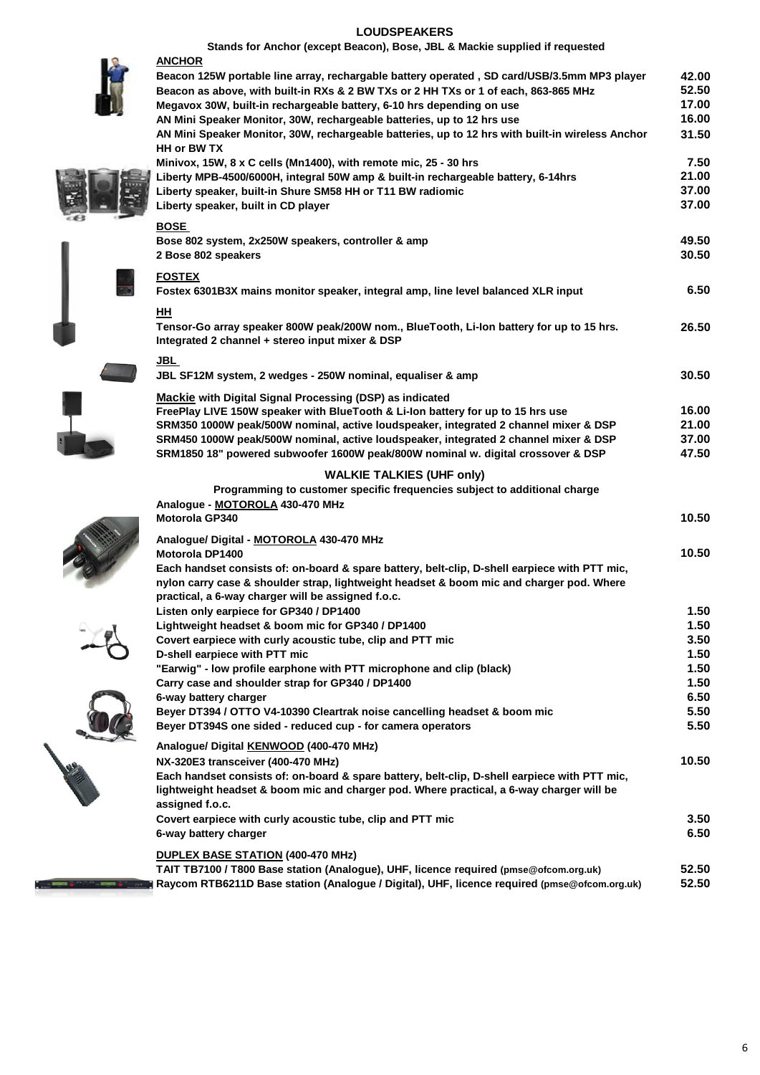#### **LOUDSPEAKERS**



| Stands for Anchor (except Beacon), Bose, JBL & Mackie supplied if requested                                                                 |                |
|---------------------------------------------------------------------------------------------------------------------------------------------|----------------|
| <b>ANCHOR</b>                                                                                                                               |                |
| Beacon 125W portable line array, rechargable battery operated, SD card/USB/3.5mm MP3 player                                                 | 42.00          |
| Beacon as above, with built-in RXs & 2 BW TXs or 2 HH TXs or 1 of each, 863-865 MHz                                                         | 52.50<br>17.00 |
| Megavox 30W, built-in rechargeable battery, 6-10 hrs depending on use                                                                       | 16.00          |
| AN Mini Speaker Monitor, 30W, rechargeable batteries, up to 12 hrs use                                                                      |                |
| AN Mini Speaker Monitor, 30W, rechargeable batteries, up to 12 hrs with built-in wireless Anchor<br>HH or BW TX                             | 31.50          |
| Minivox, 15W, 8 x C cells (Mn1400), with remote mic, 25 - 30 hrs                                                                            | 7.50           |
| Liberty MPB-4500/6000H, integral 50W amp & built-in rechargeable battery, 6-14hrs                                                           | 21.00          |
| Liberty speaker, built-in Shure SM58 HH or T11 BW radiomic                                                                                  | 37.00          |
| Liberty speaker, built in CD player                                                                                                         | 37.00          |
| <b>BOSE</b>                                                                                                                                 |                |
| Bose 802 system, 2x250W speakers, controller & amp                                                                                          | 49.50          |
| 2 Bose 802 speakers                                                                                                                         | 30.50          |
| <b>FOSTEX</b>                                                                                                                               |                |
| Fostex 6301B3X mains monitor speaker, integral amp, line level balanced XLR input                                                           | 6.50           |
| HH                                                                                                                                          |                |
| Tensor-Go array speaker 800W peak/200W nom., BlueTooth, Li-Ion battery for up to 15 hrs.                                                    | 26.50          |
| Integrated 2 channel + stereo input mixer & DSP                                                                                             |                |
| JBL                                                                                                                                         |                |
| JBL SF12M system, 2 wedges - 250W nominal, equaliser & amp                                                                                  | 30.50          |
|                                                                                                                                             |                |
| Mackie with Digital Signal Processing (DSP) as indicated<br>FreePlay LIVE 150W speaker with BlueTooth & Li-lon battery for up to 15 hrs use | 16.00          |
| SRM350 1000W peak/500W nominal, active loudspeaker, integrated 2 channel mixer & DSP                                                        | 21.00          |
| SRM450 1000W peak/500W nominal, active loudspeaker, integrated 2 channel mixer & DSP                                                        | 37.00          |
| SRM1850 18" powered subwoofer 1600W peak/800W nominal w. digital crossover & DSP                                                            | 47.50          |
|                                                                                                                                             |                |
| <b>WALKIE TALKIES (UHF only)</b><br>Programming to customer specific frequencies subject to additional charge                               |                |
| Analogue - MOTOROLA 430-470 MHz                                                                                                             |                |
| <b>Motorola GP340</b>                                                                                                                       | 10.50          |
|                                                                                                                                             |                |
| Analogue/ Digital - MOTOROLA 430-470 MHz                                                                                                    |                |
| <b>Motorola DP1400</b>                                                                                                                      | 10.50          |
| Each handset consists of: on-board & spare battery, belt-clip, D-shell earpiece with PTT mic,                                               |                |
| nylon carry case & shoulder strap, lightweight headset & boom mic and charger pod. Where                                                    |                |
| practical, a 6-way charger will be assigned f.o.c.                                                                                          |                |
| Listen only earpiece for GP340 / DP1400                                                                                                     | 1.50           |
| Lightweight headset & boom mic for GP340 / DP1400                                                                                           | 1.50           |
| Covert earpiece with curly acoustic tube, clip and PTT mic                                                                                  | 3.50           |
| D-shell earpiece with PTT mic                                                                                                               | 1.50           |
| "Earwig" - low profile earphone with PTT microphone and clip (black)                                                                        | 1.50           |
| Carry case and shoulder strap for GP340 / DP1400                                                                                            | 1.50           |
| 6-way battery charger                                                                                                                       | 6.50           |
| Beyer DT394 / OTTO V4-10390 Cleartrak noise cancelling headset & boom mic                                                                   | 5.50           |
| Beyer DT394S one sided - reduced cup - for camera operators                                                                                 | 5.50           |
| Analogue/ Digital KENWOOD (400-470 MHz)                                                                                                     |                |
| NX-320E3 transceiver (400-470 MHz)                                                                                                          | 10.50          |
| Each handset consists of: on-board & spare battery, belt-clip, D-shell earpiece with PTT mic,                                               |                |
| lightweight headset & boom mic and charger pod. Where practical, a 6-way charger will be                                                    |                |
| assigned f.o.c.                                                                                                                             |                |
| Covert earpiece with curly acoustic tube, clip and PTT mic                                                                                  | 3.50           |
| 6-way battery charger                                                                                                                       | 6.50           |
| DUPLEX BASE STATION (400-470 MHz)                                                                                                           |                |
| TAIT TB7100 / T800 Base station (Analogue), UHF, licence required (pmse@ofcom.org.uk)                                                       | 52.50          |